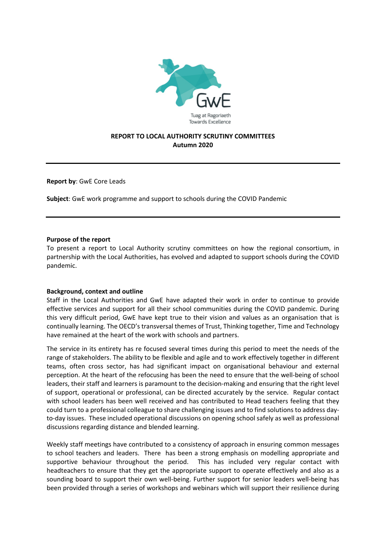

## **REPORT TO LOCAL AUTHORITY SCRUTINY COMMITTEES Autumn 2020**

**Report by**: GwE Core Leads

**Subject**: GwE work programme and support to schools during the COVID Pandemic

#### **Purpose of the report**

To present a report to Local Authority scrutiny committees on how the regional consortium, in partnership with the Local Authorities, has evolved and adapted to support schools during the COVID pandemic.

### **Background, context and outline**

Staff in the Local Authorities and GwE have adapted their work in order to continue to provide effective services and support for all their school communities during the COVID pandemic. During this very difficult period, GwE have kept true to their vision and values as an organisation that is continually learning. The OECD's transversal themes of Trust, Thinking together, Time and Technology have remained at the heart of the work with schools and partners.

The service in its entirety has re focused several times during this period to meet the needs of the range of stakeholders. The ability to be flexible and agile and to work effectively together in different teams, often cross sector, has had significant impact on organisational behaviour and external perception. At the heart of the refocusing has been the need to ensure that the well-being of school leaders, their staff and learners is paramount to the decision-making and ensuring that the right level of support, operational or professional, can be directed accurately by the service. Regular contact with school leaders has been well received and has contributed to Head teachers feeling that they could turn to a professional colleague to share challenging issues and to find solutions to address dayto-day issues. These included operational discussions on opening school safely as well as professional discussions regarding distance and blended learning.

Weekly staff meetings have contributed to a consistency of approach in ensuring common messages to school teachers and leaders. There has been a strong emphasis on modelling appropriate and supportive behaviour throughout the period. This has included very regular contact with headteachers to ensure that they get the appropriate support to operate effectively and also as a sounding board to support their own well-being. Further support for senior leaders well-being has been provided through a series of workshops and webinars which will support their resilience during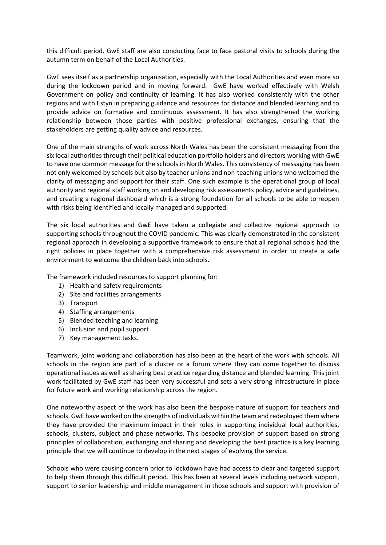this difficult period. GwE staff are also conducting face to face pastoral visits to schools during the autumn term on behalf of the Local Authorities.

GwE sees itself as a partnership organisation, especially with the Local Authorities and even more so during the lockdown period and in moving forward. GwE have worked effectively with Welsh Government on policy and continuity of learning. It has also worked consistently with the other regions and with Estyn in preparing guidance and resources for distance and blended learning and to provide advice on formative and continuous assessment. It has also strengthened the working relationship between those parties with positive professional exchanges, ensuring that the stakeholders are getting quality advice and resources.

One of the main strengths of work across North Wales has been the consistent messaging from the six local authorities through their political education portfolio holders and directors working with GwE to have one common message for the schools in North Wales. This consistency of messaging has been not only welcomed by schools but also by teacher unions and non-teaching unions who welcomed the clarity of messaging and support for their staff. One such example is the operational group of local authority and regional staff working on and developing risk assessments policy, advice and guidelines, and creating a regional dashboard which is a strong foundation for all schools to be able to reopen with risks being identified and locally managed and supported.

The six local authorities and GwE have taken a collegiate and collective regional approach to supporting schools throughout the COVID pandemic. This was clearly demonstrated in the consistent regional approach in developing a supportive framework to ensure that all regional schools had the right policies in place together with a comprehensive risk assessment in order to create a safe environment to welcome the children back into schools.

The framework included resources to support planning for:

- 1) Health and safety requirements
- 2) Site and facilities arrangements
- 3) Transport
- 4) Staffing arrangements
- 5) Blended teaching and learning
- 6) Inclusion and pupil support
- 7) Key management tasks.

Teamwork, joint working and collaboration has also been at the heart of the work with schools. All schools in the region are part of a cluster or a forum where they can come together to discuss operational issues as well as sharing best practice regarding distance and blended learning. This joint work facilitated by GwE staff has been very successful and sets a very strong infrastructure in place for future work and working relationship across the region.

One noteworthy aspect of the work has also been the bespoke nature of support for teachers and schools. GwE have worked on the strengths of individuals within the team and redeployed them where they have provided the maximum impact in their roles in supporting individual local authorities, schools, clusters, subject and phase networks. This bespoke provision of support based on strong principles of collaboration, exchanging and sharing and developing the best practice is a key learning principle that we will continue to develop in the next stages of evolving the service.

Schools who were causing concern prior to lockdown have had access to clear and targeted support to help them through this difficult period. This has been at several levels including network support, support to senior leadership and middle management in those schools and support with provision of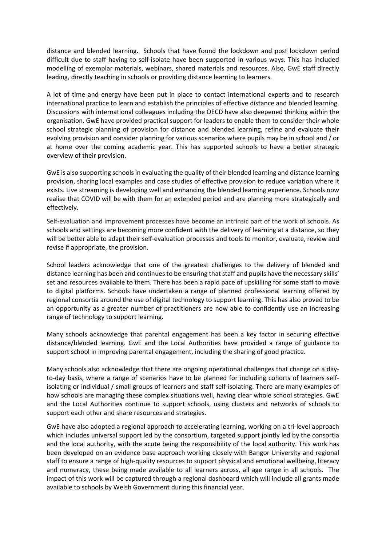distance and blended learning. Schools that have found the lockdown and post lockdown period difficult due to staff having to self-isolate have been supported in various ways. This has included modelling of exemplar materials, webinars, shared materials and resources. Also, GwE staff directly leading, directly teaching in schools or providing distance learning to learners.

A lot of time and energy have been put in place to contact international experts and to research international practice to learn and establish the principles of effective distance and blended learning. Discussions with international colleagues including the OECD have also deepened thinking within the organisation. GwE have provided practical support for leaders to enable them to consider their whole school strategic planning of provision for distance and blended learning, refine and evaluate their evolving provision and consider planning for various scenarios where pupils may be in school and / or at home over the coming academic year. This has supported schools to have a better strategic overview of their provision.

GwE is also supporting schools in evaluating the quality of their blended learning and distance learning provision, sharing local examples and case studies of effective provision to reduce variation where it exists. Live streaming is developing well and enhancing the blended learning experience. Schools now realise that COVID will be with them for an extended period and are planning more strategically and effectively.

Self-evaluation and improvement processes have become an intrinsic part of the work of schools. As schools and settings are becoming more confident with the delivery of learning at a distance, so they will be better able to adapt their self-evaluation processes and tools to monitor, evaluate, review and revise if appropriate, the provision.

School leaders acknowledge that one of the greatest challenges to the delivery of blended and distance learning has been and continues to be ensuring that staff and pupils have the necessary skills' set and resources available to them. There has been a rapid pace of upskilling for some staff to move to digital platforms. Schools have undertaken a range of planned professional learning offered by regional consortia around the use of digital technology to support learning. This has also proved to be an opportunity as a greater number of practitioners are now able to confidently use an increasing range of technology to support learning.

Many schools acknowledge that parental engagement has been a key factor in securing effective distance/blended learning. GwE and the Local Authorities have provided a range of guidance to support school in improving parental engagement, including the sharing of good practice.

Many schools also acknowledge that there are ongoing operational challenges that change on a dayto-day basis, where a range of scenarios have to be planned for including cohorts of learners selfisolating or individual / small groups of learners and staff self-isolating. There are many examples of how schools are managing these complex situations well, having clear whole school strategies. GwE and the Local Authorities continue to support schools, using clusters and networks of schools to support each other and share resources and strategies.

GwE have also adopted a regional approach to accelerating learning, working on a tri-level approach which includes universal support led by the consortium, targeted support jointly led by the consortia and the local authority, with the acute being the responsibility of the local authority. This work has been developed on an evidence base approach working closely with Bangor University and regional staff to ensure a range of high-quality resources to support physical and emotional wellbeing, literacy and numeracy, these being made available to all learners across, all age range in all schools. The impact of this work will be captured through a regional dashboard which will include all grants made available to schools by Welsh Government during this financial year.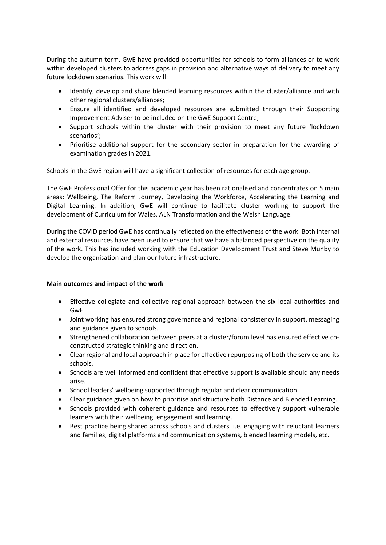During the autumn term, GwE have provided opportunities for schools to form alliances or to work within developed clusters to address gaps in provision and alternative ways of delivery to meet any future lockdown scenarios. This work will:

- Identify, develop and share blended learning resources within the cluster/alliance and with other regional clusters/alliances;
- Ensure all identified and developed resources are submitted through their Supporting Improvement Adviser to be included on the GwE Support Centre;
- Support schools within the cluster with their provision to meet any future 'lockdown scenarios';
- Prioritise additional support for the secondary sector in preparation for the awarding of examination grades in 2021.

Schools in the GwE region will have a significant collection of resources for each age group.

The GwE Professional Offer for this academic year has been rationalised and concentrates on 5 main areas: Wellbeing, The Reform Journey, Developing the Workforce, Accelerating the Learning and Digital Learning. In addition, GwE will continue to facilitate cluster working to support the development of Curriculum for Wales, ALN Transformation and the Welsh Language.

During the COVID period GwE has continually reflected on the effectiveness of the work. Both internal and external resources have been used to ensure that we have a balanced perspective on the quality of the work. This has included working with the Education Development Trust and Steve Munby to develop the organisation and plan our future infrastructure.

### **Main outcomes and impact of the work**

- Effective collegiate and collective regional approach between the six local authorities and GwE.
- Joint working has ensured strong governance and regional consistency in support, messaging and guidance given to schools.
- Strengthened collaboration between peers at a cluster/forum level has ensured effective coconstructed strategic thinking and direction.
- Clear regional and local approach in place for effective repurposing of both the service and its schools.
- Schools are well informed and confident that effective support is available should any needs arise.
- School leaders' wellbeing supported through regular and clear communication.
- Clear guidance given on how to prioritise and structure both Distance and Blended Learning.
- Schools provided with coherent guidance and resources to effectively support vulnerable learners with their wellbeing, engagement and learning.
- Best practice being shared across schools and clusters, i.e. engaging with reluctant learners and families, digital platforms and communication systems, blended learning models, etc.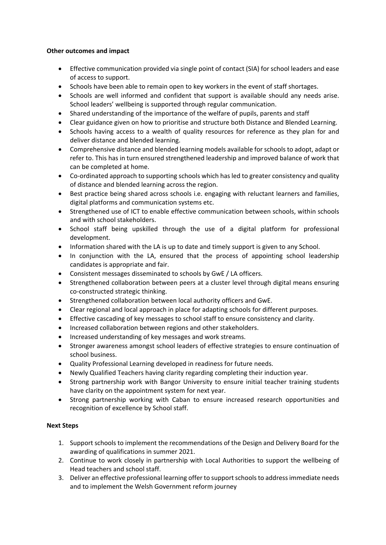## **Other outcomes and impact**

- Effective communication provided via single point of contact (SIA) for school leaders and ease of access to support.
- Schools have been able to remain open to key workers in the event of staff shortages.
- Schools are well informed and confident that support is available should any needs arise. School leaders' wellbeing is supported through regular communication.
- Shared understanding of the importance of the welfare of pupils, parents and staff
- Clear guidance given on how to prioritise and structure both Distance and Blended Learning.
- Schools having access to a wealth of quality resources for reference as they plan for and deliver distance and blended learning.
- Comprehensive distance and blended learning models available for schools to adopt, adapt or refer to. This has in turn ensured strengthened leadership and improved balance of work that can be completed at home.
- Co-ordinated approach to supporting schools which has led to greater consistency and quality of distance and blended learning across the region.
- Best practice being shared across schools i.e. engaging with reluctant learners and families, digital platforms and communication systems etc.
- Strengthened use of ICT to enable effective communication between schools, within schools and with school stakeholders.
- School staff being upskilled through the use of a digital platform for professional development.
- Information shared with the LA is up to date and timely support is given to any School.
- In conjunction with the LA, ensured that the process of appointing school leadership candidates is appropriate and fair.
- Consistent messages disseminated to schools by GwE / LA officers.
- Strengthened collaboration between peers at a cluster level through digital means ensuring co-constructed strategic thinking.
- Strengthened collaboration between local authority officers and GwE.
- Clear regional and local approach in place for adapting schools for different purposes.
- Effective cascading of key messages to school staff to ensure consistency and clarity.
- Increased collaboration between regions and other stakeholders.
- Increased understanding of key messages and work streams.
- Stronger awareness amongst school leaders of effective strategies to ensure continuation of school business.
- Quality Professional Learning developed in readiness for future needs.
- Newly Qualified Teachers having clarity regarding completing their induction year.
- Strong partnership work with Bangor University to ensure initial teacher training students have clarity on the appointment system for next year.
- Strong partnership working with Caban to ensure increased research opportunities and recognition of excellence by School staff.

# **Next Steps**

- 1. Support schools to implement the recommendations of the Design and Delivery Board for the awarding of qualifications in summer 2021.
- 2. Continue to work closely in partnership with Local Authorities to support the wellbeing of Head teachers and school staff.
- 3. Deliver an effective professional learning offer to supportschoolsto addressimmediate needs and to implement the Welsh Government reform journey